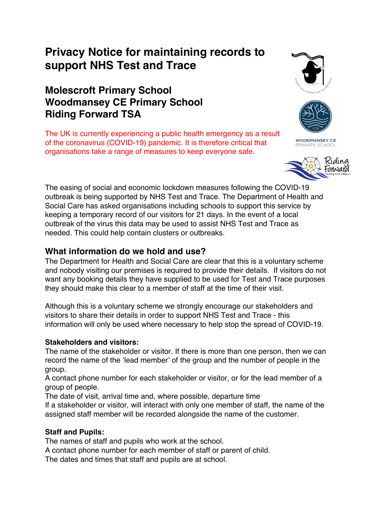# **Privacy Notice for maintaining records to support NHS Test and Trace**

# **Molescroft Primary School Woodmansey CE Primary School Riding Forward TSA**

The UK is currently experiencing a public health emergency as a result of the coronavirus (COVID-19) pandemic. It is therefore critical that organisations take a range of measures to keep everyone safe.





**WOODMANSEY CE** PRIMARY SCHOOL



The easing of social and economic lockdown measures following the COVID-19 outbreak is being supported by NHS Test and Trace. The Department of Health and Social Care has asked organisations including schools to support this service by keeping a temporary record of our visitors for 21 days. In the event of a local outbreak of the virus this data may be used to assist NHS Test and Trace as needed. This could help contain clusters or outbreaks.

## **What information do we hold and use?**

The Department for Health and Social Care are clear that this is a voluntary scheme and nobody visiting our premises is required to provide their details. If visitors do not want any booking details they have supplied to be used for Test and Trace purposes they should make this clear to a member of staff at the time of their visit.

Although this is a voluntary scheme we strongly encourage our stakeholders and visitors to share their details in order to support NHS Test and Trace - this information will only be used where necessary to help stop the spread of COVID-19.

#### **Stakeholders and visitors:**

The name of the stakeholder or visitor. If there is more than one person, then we can record the name of the 'lead member' of the group and the number of people in the group.

A contact phone number for each stakeholder or visitor, or for the lead member of a group of people.

The date of visit, arrival time and, where possible, departure time

If a stakeholder or visitor, will interact with only one member of staff, the name of the assigned staff member will be recorded alongside the name of the customer.

## **Staff and Pupils:**

The names of staff and pupils who work at the school.

A contact phone number for each member of staff or parent of child.

The dates and times that staff and pupils are at school.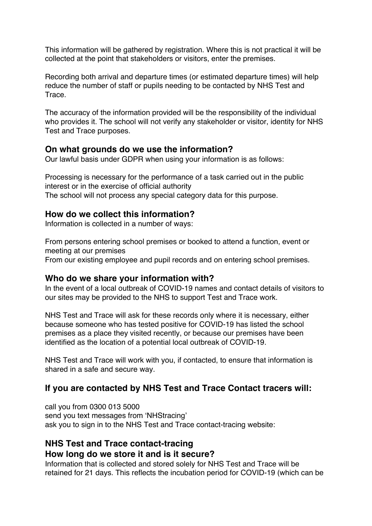This information will be gathered by registration. Where this is not practical it will be collected at the point that stakeholders or visitors, enter the premises.

Recording both arrival and departure times (or estimated departure times) will help reduce the number of staff or pupils needing to be contacted by NHS Test and Trace.

The accuracy of the information provided will be the responsibility of the individual who provides it. The school will not verify any stakeholder or visitor, identity for NHS Test and Trace purposes.

#### **On what grounds do we use the information?**

Our lawful basis under GDPR when using your information is as follows:

Processing is necessary for the performance of a task carried out in the public interest or in the exercise of official authority The school will not process any special category data for this purpose.

#### **How do we collect this information?**

Information is collected in a number of ways:

From persons entering school premises or booked to attend a function, event or meeting at our premises

From our existing employee and pupil records and on entering school premises.

#### **Who do we share your information with?**

In the event of a local outbreak of COVID-19 names and contact details of visitors to our sites may be provided to the NHS to support Test and Trace work.

NHS Test and Trace will ask for these records only where it is necessary, either because someone who has tested positive for COVID-19 has listed the school premises as a place they visited recently, or because our premises have been identified as the location of a potential local outbreak of COVID-19.

NHS Test and Trace will work with you, if contacted, to ensure that information is shared in a safe and secure way.

#### **If you are contacted by NHS Test and Trace Contact tracers will:**

call you from 0300 013 5000 send you text messages from 'NHStracing' ask you to sign in to the NHS Test and Trace contact-tracing website:

#### **NHS Test and Trace contact-tracing How long do we store it and is it secure?**

Information that is collected and stored solely for NHS Test and Trace will be retained for 21 days. This reflects the incubation period for COVID-19 (which can be